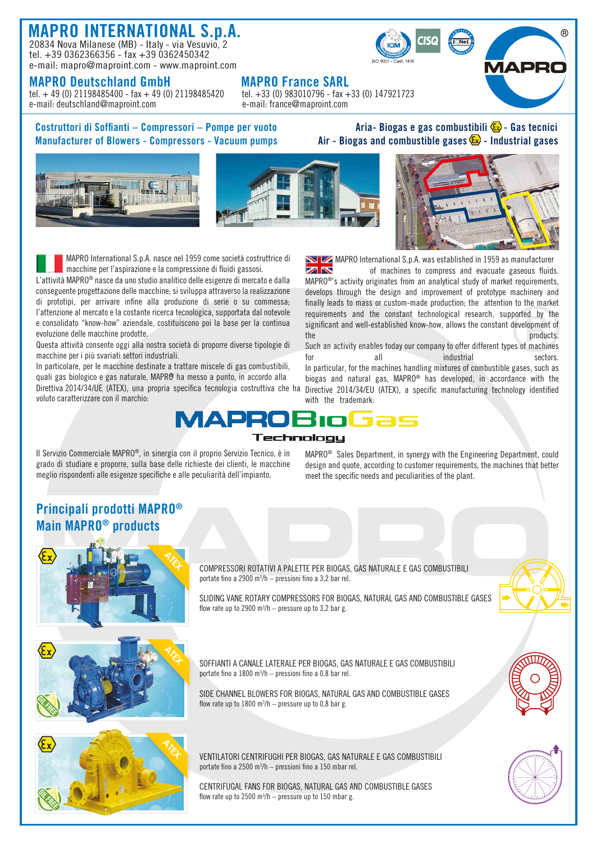## MAPRO INTERNATIONAL S.p.A. 20834 Nova Milanese (MB) - Italy - via Vesuvio, 2

tel. +39 0362366356 - fax +39 0362450342 e-mail: mapro@maproint.com - www.maproint.com

**MAPRO Deutschland GmbH** MAPRO France SARL<br>tel. + 49 (0) 21198485400 - fax + 49 (0) 21198485420 tel. +33 (0) 983010796 - fax +33 (0) 147921723 tel. + 49 (0) 21198485400 - fax + 49 (0) 21198485420 tel. + 33 (0) 983010796 - fax +<br>
e-mail: france@maproint.com e-mail: france@maproint.com e-mail: deutschland@maproint.com

Costruttori di Soffianti – Compressori – Pompe per vuoto  $\qquad \qquad$  Aria- Biogas e gas combustibili  $\mathcal{C}_2$  - Gas tecnici

R)







 MAPRO International S.p.A. nasce nel 1959 come società costruttrice di macchine per l'aspirazione e la compressione di fluidi gassosi.

L'attività MAPRO® nasce da uno studio analitico delle esigenze di mercato e dalla conseguente progettazione delle macchine; si sviluppa attraverso la realizzazione di prototipi, per arrivare infine alla produzione di serie o su commessa; l'attenzione al mercato e la costante ricerca tecnologica, supportata dal notevole e consolidato "know-how" aziendale, costituiscono poi la base per la continua evoluzione delle macchine prodotte.

Questa attività consente oggi alla nostra società di proporre diverse tipologie di macchine per i più svariati settori industriali.

In particolare, per le macchine destinate a trattare miscele di gas combustibili, quali gas biologico e gas naturale, MAPRO ha messo a punto, in accordo alla Direttiva 2014/34/UE (ATEX), una propria specifica tecnologia costruttiva che ha voluto caratterizzare con il marchio:

MAPRO International S.p.A. was established in 1959 as manufacturer **ZIN** of machines to compress and evacuate gaseous fluids. MAPRO®'s activity originates from an analytical study of market requirements, develops through the design and improvement of prototype machinery and finally leads to mass or custom-made production; the attention to the market requirements and the constant technological research, supported by the significant and well-established know-how, allows the constant development of

the products. The products of the products of the products. Such an activity enables today our company to offer different types of machines for all all industrial sectors. In particular, for the machines handling mixtures of combustible gases, such as biogas and natural gas, MAPRO® has developed, in accordance with the Directive 2014/34/EU (ATEX), a specific manufacturing technology identified with the trademark:



Il Servizio Commerciale MAPRO®, in sinergia con il proprio Servizio Tecnico, è in grado di studiare e proporre, sulla base delle richieste dei clienti, le macchine meglio rispondenti alle esigenze specifiche e alle peculiarità dell'impianto.

MAPRO® Sales Department, in synergy with the Engineering Department, could design and quote, according to customer requirements, the machines that better meet the specific needs and peculiarities of the plant.

## Principali prodotti MAPRO® Main MAPRO® products



COMPRESSORI ROTATIVI A PALETTE PER BIOGAS, GAS NATURALE E GAS COMBUSTIBILI portate fino a 2900  $m^3/h$  – pressioni fino a 3,2 bar rel.

SLIDING VANE ROTARY COMPRESSORS FOR BIOGAS, NATURAL GAS AND COMBUSTIBLE GASES flow rate up to 2900  $m^3/h$  – pressure up to 3,2 bar g.



SOFFIANTI A CANALE LATERALE PER BIOGAS, GAS NATURALE E GAS COMBUSTIBILI portate fino a  $1800 \text{ m}^3/\text{h}$  – pressioni fino a 0,8 bar rel.

SIDE CHANNEL BLOWERS FOR BIOGAS, NATURAL GAS AND COMBUSTIBLE GASES flow rate up to  $1800 \text{ m}^3/h$  – pressure up to 0,8 bar g.



VENTILATORI CENTRIFUGHI PER BIOGAS, GAS NATURALE E GAS COMBUSTIBILI portate fino a 2500 m3 /h – pressioni fino a 150 mbar rel.

CENTRIFUGAL FANS FOR BIOGAS, NATURAL GAS AND COMBUSTIBLE GASES flow rate up to  $2500 \text{ m}^3/h$  – pressure up to 150 mbar g.